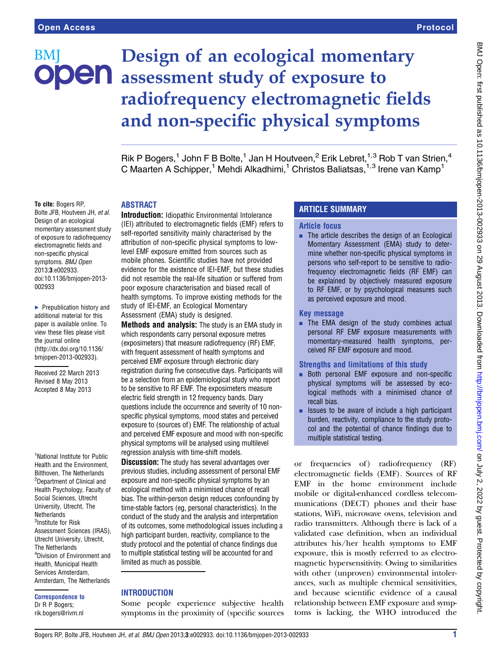BM

# Design of an ecological momentary **ODEN** assessment study of exposure to radiofrequency electromagnetic fields and non-specific physical symptoms

Rik P Bogers,<sup>1</sup> John F B Bolte,<sup>1</sup> Jan H Houtveen,<sup>2</sup> Erik Lebret,<sup>1,3</sup> Rob T van Strien,<sup>4</sup> C Maarten A Schipper,<sup>1</sup> Mehdi Alkadhimi,<sup>1</sup> Christos Baliatsas,<sup>1,3</sup> Irene van Kamp<sup>1</sup>

#### To cite: Bogers RP,

Bolte JFB, Houtveen JH, et al. Design of an ecological momentary assessment study of exposure to radiofrequency electromagnetic fields and non-specific physical symptoms. BMJ Open 2013;3:e002933. doi:10.1136/bmjopen-2013- 002933

▶ Prepublication history and additional material for this paper is available online. To view these files please visit the journal online [\(http://dx.doi.org/10.1136/](http://dx.doi.org/10.1136/bmjopen-2013-002933) [bmjopen-2013-002933](http://dx.doi.org/10.1136/bmjopen-2013-002933)).

Received 22 March 2013 Revised 8 May 2013 Accepted 8 May 2013

<sup>1</sup>National Institute for Public Health and the Environment, Bilthoven, The Netherlands <sup>2</sup>Department of Clinical and Health Psychology, Faculty of Social Sciences, Utrecht University, Utrecht, The **Netherlands** <sup>3</sup>Institute for Risk Assessment Sciences (IRAS), Utrecht University, Utrecht, The Netherlands 4 Division of Environment and Health, Municipal Health Services Amsterdam, Amsterdam, The Netherlands

#### Correspondence to

Dr R P Bogers; rik.bogers@rivm.nl

#### ABSTRACT

Introduction: Idiopathic Environmental Intolerance (IEI) attributed to electromagnetic fields (EMF) refers to self-reported sensitivity mainly characterised by the attribution of non-specific physical symptoms to lowlevel EMF exposure emitted from sources such as mobile phones. Scientific studies have not provided evidence for the existence of IEI-EMF, but these studies did not resemble the real-life situation or suffered from poor exposure characterisation and biased recall of health symptoms. To improve existing methods for the study of IEI-EMF, an Ecological Momentary Assessment (EMA) study is designed.

Methods and analysis: The study is an EMA study in which respondents carry personal exposure metres (exposimeters) that measure radiofrequency (RF) EMF, with frequent assessment of health symptoms and perceived EMF exposure through electronic diary registration during five consecutive days. Participants will be a selection from an epidemiological study who report to be sensitive to RF EMF. The exposimeters measure electric field strength in 12 frequency bands. Diary questions include the occurrence and severity of 10 nonspecific physical symptoms, mood states and perceived exposure to (sources of ) EMF. The relationship of actual and perceived EMF exposure and mood with non-specific physical symptoms will be analysed using multilevel regression analysis with time-shift models.

**Discussion:** The study has several advantages over previous studies, including assessment of personal EMF exposure and non-specific physical symptoms by an ecological method with a minimised chance of recall bias. The within-person design reduces confounding by time-stable factors (eg, personal characteristics). In the conduct of the study and the analysis and interpretation of its outcomes, some methodological issues including a high participant burden, reactivity, compliance to the study protocol and the potential of chance findings due to multiple statistical testing will be accounted for and limited as much as possible.

#### INTRODUCTION

Some people experience subjective health symptoms in the proximity of (specific sources

# ARTICLE SUMMARY

#### Article focus

 $\blacksquare$  The article describes the design of an Ecological Momentary Assessment (EMA) study to determine whether non-specific physical symptoms in persons who self-report to be sensitive to radiofrequency electromagnetic fields (RF EMF) can be explained by objectively measured exposure to RF EMF, or by psychological measures such as perceived exposure and mood.

#### Key message

 $\blacksquare$  The EMA design of the study combines actual personal RF EMF exposure measurements with momentary-measured health symptoms, perceived RF EMF exposure and mood.

#### Strengths and limitations of this study

- Both personal EMF exposure and non-specific physical symptoms will be assessed by ecological methods with a minimised chance of recall bias.
- Issues to be aware of include a high participant burden, reactivity, compliance to the study protocol and the potential of chance findings due to multiple statistical testing.

or frequencies of) radiofrequency (RF) electromagnetic fields (EMF). Sources of RF EMF in the home environment include mobile or digital-enhanced cordless telecommunications (DECT) phones and their base stations, WiFi, microwave ovens, television and radio transmitters. Although there is lack of a validated case definition, when an individual attributes his/her health symptoms to EMF exposure, this is mostly referred to as electromagnetic hypersensitivity. Owing to similarities with other (unproven) environmental intolerances, such as multiple chemical sensitivities, and because scientific evidence of a causal relationship between EMF exposure and symptoms is lacking, the WHO introduced the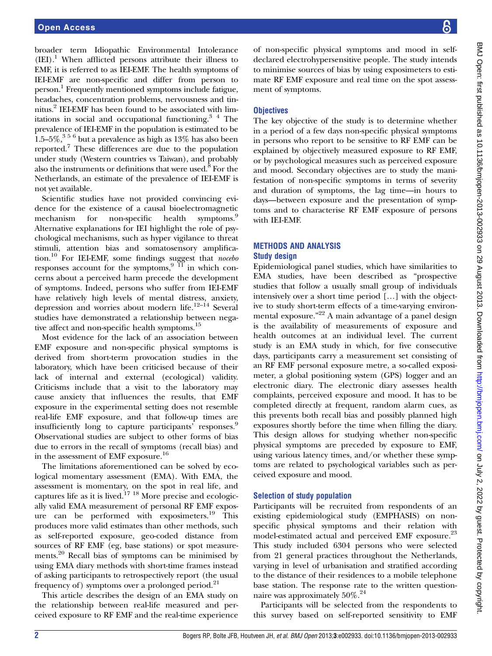broader term Idiopathic Environmental Intolerance  $(IEI).$ <sup>1</sup> When afflicted persons attribute their illness to EMF, it is referred to as IEI-EMF. The health symptoms of IEI-EMF are non-specific and differ from person to person. <sup>1</sup> Frequently mentioned symptoms include fatigue, headaches, concentration problems, nervousness and tinnitus.<sup>2</sup> IEI-EMF has been found to be associated with limitations in social and occupational functioning. $3<sup>3</sup>$  The prevalence of IEI-EMF in the population is estimated to be 1.5–5%,  $356$  but a prevalence as high as 13% has also been reported.7 These differences are due to the population under study (Western countries vs Taiwan), and probably also the instruments or definitions that were used.<sup>8</sup> For the Netherlands, an estimate of the prevalence of IEI-EMF is not yet available.

Scientific studies have not provided convincing evidence for the existence of a causal bioelectromagnetic mechanism for non-specific health symptoms.<sup>9</sup> Alternative explanations for IEI highlight the role of psychological mechanisms, such as hyper vigilance to threat stimuli, attention bias and somatosensory amplification.<sup>10</sup> For IEI-EMF, some findings suggest that nocebo responses account for the symptoms,<sup>9 11</sup> in which concerns about a perceived harm precede the development of symptoms. Indeed, persons who suffer from IEI-EMF have relatively high levels of mental distress, anxiety, depression and worries about modern life.<sup>12-14</sup> Several studies have demonstrated a relationship between negative affect and non-specific health symptoms.<sup>15</sup>

Most evidence for the lack of an association between EMF exposure and non-specific physical symptoms is derived from short-term provocation studies in the laboratory, which have been criticised because of their lack of internal and external (ecological) validity. Criticisms include that a visit to the laboratory may cause anxiety that influences the results, that EMF exposure in the experimental setting does not resemble real-life EMF exposure, and that follow-up times are insufficiently long to capture participants' responses.<sup>9</sup> Observational studies are subject to other forms of bias due to errors in the recall of symptoms (recall bias) and in the assessment of EMF exposure.<sup>16</sup>

The limitations aforementioned can be solved by ecological momentary assessment (EMA). With EMA, the assessment is momentary, on the spot in real life, and captures life as it is lived. $17 \text{ 18}$  More precise and ecologically valid EMA measurement of personal RF EMF exposure can be performed with exposimeters.<sup>19</sup> This produces more valid estimates than other methods, such as self-reported exposure, geo-coded distance from sources of RF EMF (eg, base stations) or spot measurements.<sup>20</sup> Recall bias of symptoms can be minimised by using EMA diary methods with short-time frames instead of asking participants to retrospectively report (the usual frequency of) symptoms over a prolonged period. $^{21}$ 

This article describes the design of an EMA study on the relationship between real-life measured and perceived exposure to RF EMF and the real-time experience

of non-specific physical symptoms and mood in selfdeclared electrohypersensitive people. The study intends to minimise sources of bias by using exposimeters to estimate RF EMF exposure and real time on the spot assessment of symptoms.

# **Objectives**

The key objective of the study is to determine whether in a period of a few days non-specific physical symptoms in persons who report to be sensitive to RF EMF can be explained by objectively measured exposure to RF EMF, or by psychological measures such as perceived exposure and mood. Secondary objectives are to study the manifestation of non-specific symptoms in terms of severity and duration of symptoms, the lag time—in hours to days—between exposure and the presentation of symptoms and to characterise RF EMF exposure of persons with IEI-EMF.

#### METHODS AND ANALYSIS Study design

Epidemiological panel studies, which have similarities to EMA studies, have been described as "prospective studies that follow a usually small group of individuals intensively over a short time period […] with the objective to study short-term effects of a time-varying environmental exposure."<sup>22</sup> A main advantage of a panel design is the availability of measurements of exposure and health outcomes at an individual level. The current study is an EMA study in which, for five consecutive days, participants carry a measurement set consisting of an RF EMF personal exposure metre, a so-called exposimeter, a global positioning system (GPS) logger and an electronic diary. The electronic diary assesses health complaints, perceived exposure and mood. It has to be completed directly at frequent, random alarm cues, as this prevents both recall bias and possibly planned high exposures shortly before the time when filling the diary. This design allows for studying whether non-specific physical symptoms are preceded by exposure to EMF, using various latency times, and/or whether these symptoms are related to psychological variables such as perceived exposure and mood.

# Selection of study population

Participants will be recruited from respondents of an existing epidemiological study (EMPHASIS) on nonspecific physical symptoms and their relation with model-estimated actual and perceived EMF exposure.<sup>23</sup> This study included 6304 persons who were selected from 21 general practices throughout the Netherlands, varying in level of urbanisation and stratified according to the distance of their residences to a mobile telephone base station. The response rate to the written questionnaire was approximately 50%.<sup>24</sup>

Participants will be selected from the respondents to this survey based on self-reported sensitivity to EMF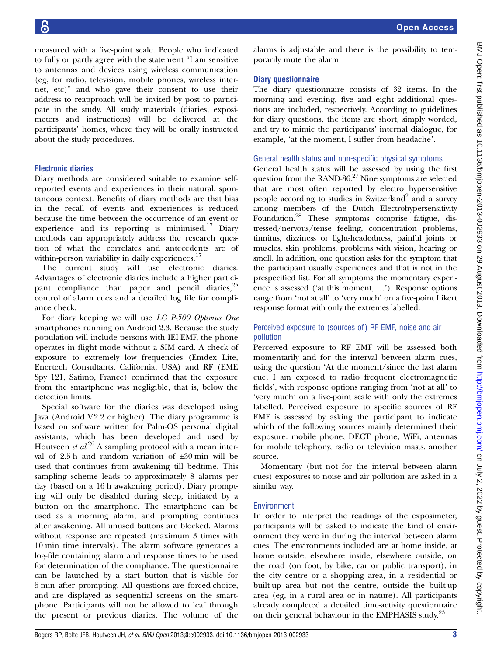measured with a five-point scale. People who indicated to fully or partly agree with the statement "I am sensitive to antennas and devices using wireless communication (eg, for radio, television, mobile phones, wireless internet, etc)" and who gave their consent to use their address to reapproach will be invited by post to participate in the study. All study materials (diaries, exposimeters and instructions) will be delivered at the participants' homes, where they will be orally instructed about the study procedures.

#### Electronic diaries

Diary methods are considered suitable to examine selfreported events and experiences in their natural, spontaneous context. Benefits of diary methods are that bias in the recall of events and experiences is reduced because the time between the occurrence of an event or experience and its reporting is minimised.<sup>17</sup> Diary methods can appropriately address the research question of what the correlates and antecedents are of within-person variability in daily experiences.<sup>17</sup>

The current study will use electronic diaries. Advantages of electronic diaries include a higher participant compliance than paper and pencil diaries,<sup>25</sup> control of alarm cues and a detailed log file for compliance check.

For diary keeping we will use LG P-500 Optimus One smartphones running on Android 2.3. Because the study population will include persons with IEI-EMF, the phone operates in flight mode without a SIM card. A check of exposure to extremely low frequencies (Emdex Lite, Enertech Consultants, California, USA) and RF (EME Spy 121, Satimo, France) confirmed that the exposure from the smartphone was negligible, that is, below the detection limits.

Special software for the diaries was developed using Java (Android V.2.2 or higher). The diary programme is based on software written for Palm-OS personal digital assistants, which has been developed and used by Houtveen *et al.*<sup>26</sup> A sampling protocol with a mean interval of 2.5 h and random variation of ±30 min will be used that continues from awakening till bedtime. This sampling scheme leads to approximately 8 alarms per day (based on a 16 h awakening period). Diary prompting will only be disabled during sleep, initiated by a button on the smartphone. The smartphone can be used as a morning alarm, and prompting continues after awakening. All unused buttons are blocked. Alarms without response are repeated (maximum 3 times with 10 min time intervals). The alarm software generates a log-file containing alarm and response times to be used for determination of the compliance. The questionnaire can be launched by a start button that is visible for 5 min after prompting. All questions are forced-choice, and are displayed as sequential screens on the smartphone. Participants will not be allowed to leaf through the present or previous diaries. The volume of the

alarms is adjustable and there is the possibility to temporarily mute the alarm.

# Diary questionnaire

The diary questionnaire consists of 32 items. In the morning and evening, five and eight additional questions are included, respectively. According to guidelines for diary questions, the items are short, simply worded, and try to mimic the participants' internal dialogue, for example, 'at the moment, I suffer from headache'.

#### General health status and non-specific physical symptoms

General health status will be assessed by using the first question from the RAND- $36.27$  Nine symptoms are selected that are most often reported by electro hypersensitive people according to studies in Switzerland<sup>2</sup> and a survey among members of the Dutch Electrohypersensitivity Foundation.28 These symptoms comprise fatigue, distressed/nervous/tense feeling, concentration problems, tinnitus, dizziness or light-headedness, painful joints or muscles, skin problems, problems with vision, hearing or smell. In addition, one question asks for the symptom that the participant usually experiences and that is not in the prespecified list. For all symptoms the momentary experience is assessed ('at this moment, …'). Response options range from 'not at all' to 'very much' on a five-point Likert response format with only the extremes labelled.

# Perceived exposure to (sources of ) RF EMF, noise and air pollution

Perceived exposure to RF EMF will be assessed both momentarily and for the interval between alarm cues, using the question 'At the moment/since the last alarm cue, I am exposed to radio frequent electromagnetic fields', with response options ranging from 'not at all' to 'very much' on a five-point scale with only the extremes labelled. Perceived exposure to specific sources of RF EMF is assessed by asking the participant to indicate which of the following sources mainly determined their exposure: mobile phone, DECT phone, WiFi, antennas for mobile telephony, radio or television masts, another source.

Momentary (but not for the interval between alarm cues) exposures to noise and air pollution are asked in a similar way.

# Environment

In order to interpret the readings of the exposimeter, participants will be asked to indicate the kind of environment they were in during the interval between alarm cues. The environments included are at home inside, at home outside, elsewhere inside, elsewhere outside, on the road (on foot, by bike, car or public transport), in the city centre or a shopping area, in a residential or built-up area but not the centre, outside the built-up area (eg, in a rural area or in nature). All participants already completed a detailed time-activity questionnaire on their general behaviour in the EMPHASIS study.<sup>23</sup>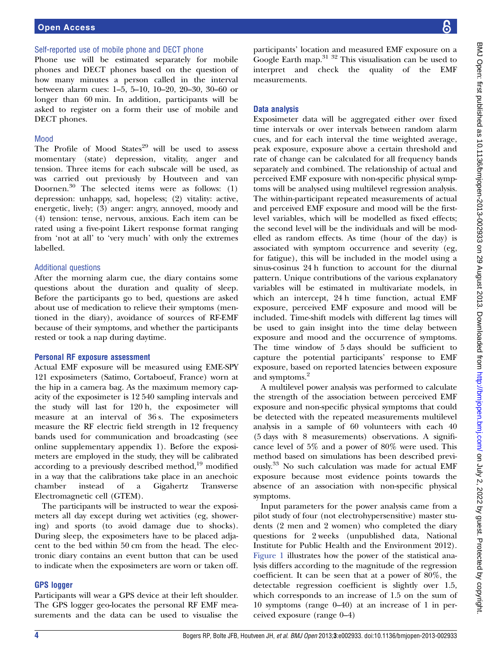# Self-reported use of mobile phone and DECT phone

Phone use will be estimated separately for mobile phones and DECT phones based on the question of how many minutes a person called in the interval between alarm cues: 1–5, 5–10, 10–20, 20–30, 30–60 or longer than 60 min. In addition, participants will be asked to register on a form their use of mobile and DECT phones.

#### Mood

The Profile of Mood States<sup>29</sup> will be used to assess momentary (state) depression, vitality, anger and tension. Three items for each subscale will be used, as was carried out previously by Houtveen and van Doornen.<sup>30</sup> The selected items were as follows: (1) depression: unhappy, sad, hopeless; (2) vitality: active, energetic, lively; (3) anger: angry, annoyed, moody and (4) tension: tense, nervous, anxious. Each item can be rated using a five-point Likert response format ranging from 'not at all' to 'very much' with only the extremes labelled.

# Additional questions

After the morning alarm cue, the diary contains some questions about the duration and quality of sleep. Before the participants go to bed, questions are asked about use of medication to relieve their symptoms (mentioned in the diary), avoidance of sources of RF-EMF because of their symptoms, and whether the participants rested or took a nap during daytime.

#### Personal RF exposure assessment

Actual EMF exposure will be measured using EME-SPY 121 exposimeters (Satimo, Cortaboeuf, France) worn at the hip in a camera bag. As the maximum memory capacity of the exposimeter is 12 540 sampling intervals and the study will last for 120 h, the exposimeter will measure at an interval of 36 s. The exposimeters measure the RF electric field strength in 12 frequency bands used for communication and broadcasting (see online supplementary appendix 1). Before the exposimeters are employed in the study, they will be calibrated according to a previously described method, $^{19}$  modified in a way that the calibrations take place in an anechoic chamber instead of a Gigahertz Transverse Electromagnetic cell (GTEM).

The participants will be instructed to wear the exposimeters all day except during wet activities (eg, showering) and sports (to avoid damage due to shocks). During sleep, the exposimeters have to be placed adjacent to the bed within 50 cm from the head. The electronic diary contains an event button that can be used to indicate when the exposimeters are worn or taken off.

#### GPS logger

Participants will wear a GPS device at their left shoulder. The GPS logger geo-locates the personal RF EMF measurements and the data can be used to visualise the

participants' location and measured EMF exposure on a Google Earth map. $31^{32}$  This visualisation can be used to interpret and check the quality of the EMF measurements.

# Data analysis

Exposimeter data will be aggregated either over fixed time intervals or over intervals between random alarm cues, and for each interval the time weighted average, peak exposure, exposure above a certain threshold and rate of change can be calculated for all frequency bands separately and combined. The relationship of actual and perceived EMF exposure with non-specific physical symptoms will be analysed using multilevel regression analysis. The within-participant repeated measurements of actual and perceived EMF exposure and mood will be the firstlevel variables, which will be modelled as fixed effects; the second level will be the individuals and will be modelled as random effects. As time (hour of the day) is associated with symptom occurrence and severity (eg, for fatigue), this will be included in the model using a sinus-cosinus 24 h function to account for the diurnal pattern. Unique contributions of the various explanatory variables will be estimated in multivariate models, in which an intercept, 24 h time function, actual EMF exposure, perceived EMF exposure and mood will be included. Time-shift models with different lag times will be used to gain insight into the time delay between exposure and mood and the occurrence of symptoms. The time window of 5 days should be sufficient to capture the potential participants' response to EMF exposure, based on reported latencies between exposure and symptoms.<sup>2</sup>

A multilevel power analysis was performed to calculate the strength of the association between perceived EMF exposure and non-specific physical symptoms that could be detected with the repeated measurements multilevel analysis in a sample of 60 volunteers with each 40 (5 days with 8 measurements) observations. A significance level of 5% and a power of 80% were used. This method based on simulations has been described previously.33 No such calculation was made for actual EMF exposure because most evidence points towards the absence of an association with non-specific physical symptoms.

Input parameters for the power analysis came from a pilot study of four (not electrohypersensitive) master students (2 men and 2 women) who completed the diary questions for 2 weeks (unpublished data, National Institute for Public Health and the Environment 2012). Figure 1 illustrates how the power of the statistical analysis differs according to the magnitude of the regression coefficient. It can be seen that at a power of 80%, the detectable regression coefficient is slightly over 1.5, which corresponds to an increase of 1.5 on the sum of 10 symptoms (range 0–40) at an increase of 1 in perceived exposure (range 0–4)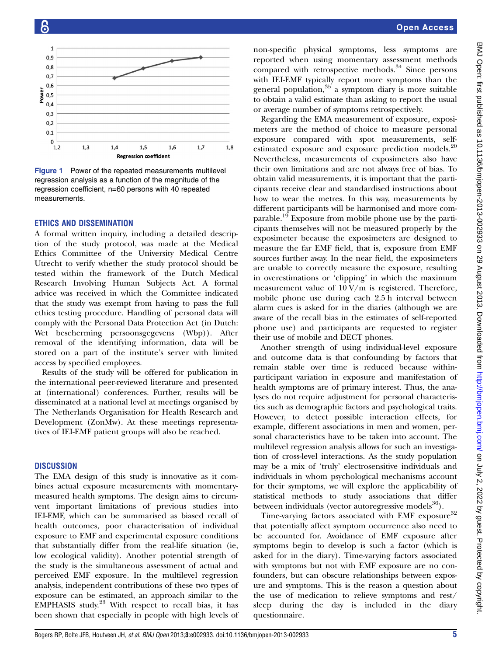



Figure 1 Power of the repeated measurements multilevel regression analysis as a function of the magnitude of the regression coefficient, n=60 persons with 40 repeated measurements.

#### ETHICS AND DISSEMINATION

A formal written inquiry, including a detailed description of the study protocol, was made at the Medical Ethics Committee of the University Medical Centre Utrecht to verify whether the study protocol should be tested within the framework of the Dutch Medical Research Involving Human Subjects Act. A formal advice was received in which the Committee indicated that the study was exempt from having to pass the full ethics testing procedure. Handling of personal data will comply with the Personal Data Protection Act (in Dutch: Wet bescherming persoonsgegevens (Wbp)). After removal of the identifying information, data will be stored on a part of the institute's server with limited access by specified employees.

Results of the study will be offered for publication in the international peer-reviewed literature and presented at (international) conferences. Further, results will be disseminated at a national level at meetings organised by The Netherlands Organisation for Health Research and Development (ZonMw). At these meetings representatives of IEI-EMF patient groups will also be reached.

#### **DISCUSSION**

The EMA design of this study is innovative as it combines actual exposure measurements with momentarymeasured health symptoms. The design aims to circumvent important limitations of previous studies into IEI-EMF, which can be summarised as biased recall of health outcomes, poor characterisation of individual exposure to EMF and experimental exposure conditions that substantially differ from the real-life situation (ie, low ecological validity). Another potential strength of the study is the simultaneous assessment of actual and perceived EMF exposure. In the multilevel regression analysis, independent contributions of these two types of exposure can be estimated, an approach similar to the EMPHASIS study. $23$  With respect to recall bias, it has been shown that especially in people with high levels of

non-specific physical symptoms, less symptoms are reported when using momentary assessment methods compared with retrospective methods.<sup>34</sup> Since persons with IEI-EMF typically report more symptoms than the general population,<sup>35</sup> a symptom diary is more suitable to obtain a valid estimate than asking to report the usual or average number of symptoms retrospectively.

Regarding the EMA measurement of exposure, exposimeters are the method of choice to measure personal exposure compared with spot measurements, selfestimated exposure and exposure prediction models.<sup>20</sup> Nevertheless, measurements of exposimeters also have their own limitations and are not always free of bias. To obtain valid measurements, it is important that the participants receive clear and standardised instructions about how to wear the metres. In this way, measurements by different participants will be harmonised and more comparable.<sup>19</sup> Exposure from mobile phone use by the participants themselves will not be measured properly by the exposimeter because the exposimeters are designed to measure the far EMF field, that is, exposure from EMF sources further away. In the near field, the exposimeters are unable to correctly measure the exposure, resulting in overestimations or 'clipping' in which the maximum measurement value of  $10 \text{ V/m}$  is registered. Therefore, mobile phone use during each 2.5 h interval between alarm cues is asked for in the diaries (although we are aware of the recall bias in the estimates of self-reported phone use) and participants are requested to register their use of mobile and DECT phones.

Another strength of using individual-level exposure and outcome data is that confounding by factors that remain stable over time is reduced because withinparticipant variation in exposure and manifestation of health symptoms are of primary interest. Thus, the analyses do not require adjustment for personal characteristics such as demographic factors and psychological traits. However, to detect possible interaction effects, for example, different associations in men and women, personal characteristics have to be taken into account. The multilevel regression analysis allows for such an investigation of cross-level interactions. As the study population may be a mix of 'truly' electrosensitive individuals and individuals in whom psychological mechanisms account for their symptoms, we will explore the applicability of statistical methods to study associations that differ between individuals (vector autoregressive models $^{36}$ ).

Time-varying factors associated with EMF exposure<sup>32</sup> that potentially affect symptom occurrence also need to be accounted for. Avoidance of EMF exposure after symptoms begin to develop is such a factor (which is asked for in the diary). Time-varying factors associated with symptoms but not with EMF exposure are no confounders, but can obscure relationships between exposure and symptoms. This is the reason a question about the use of medication to relieve symptoms and rest/ sleep during the day is included in the diary questionnaire.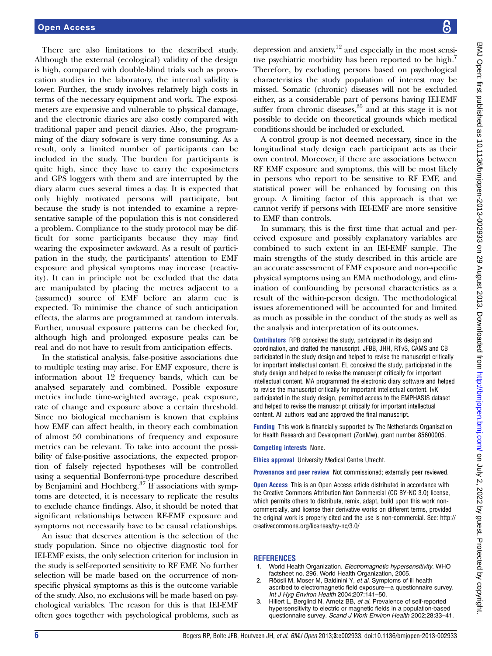There are also limitations to the described study. Although the external (ecological) validity of the design is high, compared with double-blind trials such as provocation studies in the laboratory, the internal validity is lower. Further, the study involves relatively high costs in terms of the necessary equipment and work. The exposimeters are expensive and vulnerable to physical damage, and the electronic diaries are also costly compared with traditional paper and pencil diaries. Also, the programming of the diary software is very time consuming. As a result, only a limited number of participants can be included in the study. The burden for participants is quite high, since they have to carry the exposimeters and GPS loggers with them and are interrupted by the diary alarm cues several times a day. It is expected that only highly motivated persons will participate, but because the study is not intended to examine a representative sample of the population this is not considered a problem. Compliance to the study protocol may be difficult for some participants because they may find wearing the exposimeter awkward. As a result of participation in the study, the participants' attention to EMF exposure and physical symptoms may increase (reactivity). It can in principle not be excluded that the data are manipulated by placing the metres adjacent to a (assumed) source of EMF before an alarm cue is expected. To minimise the chance of such anticipation effects, the alarms are programmed at random intervals. Further, unusual exposure patterns can be checked for, although high and prolonged exposure peaks can be real and do not have to result from anticipation effects.

In the statistical analysis, false-positive associations due to multiple testing may arise. For EMF exposure, there is information about 12 frequency bands, which can be analysed separately and combined. Possible exposure metrics include time-weighted average, peak exposure, rate of change and exposure above a certain threshold. Since no biological mechanism is known that explains how EMF can affect health, in theory each combination of almost 50 combinations of frequency and exposure metrics can be relevant. To take into account the possibility of false-positive associations, the expected proportion of falsely rejected hypotheses will be controlled using a sequential Bonferroni-type procedure described by Benjamini and Hochberg.<sup>37</sup> If associations with symptoms are detected, it is necessary to replicate the results to exclude chance findings. Also, it should be noted that significant relationships between RF-EMF exposure and symptoms not necessarily have to be causal relationships.

An issue that deserves attention is the selection of the study population. Since no objective diagnostic tool for IEI-EMF exists, the only selection criterion for inclusion in the study is self-reported sensitivity to RF EMF. No further selection will be made based on the occurrence of nonspecific physical symptoms as this is the outcome variable of the study. Also, no exclusions will be made based on psychological variables. The reason for this is that IEI-EMF often goes together with psychological problems, such as

depression and anxiety, $12$  and especially in the most sensitive psychiatric morbidity has been reported to be high.<sup>7</sup> Therefore, by excluding persons based on psychological characteristics the study population of interest may be missed. Somatic (chronic) diseases will not be excluded either, as a considerable part of persons having IEI-EMF suffer from chronic diseases,<sup>35</sup> and at this stage it is not possible to decide on theoretical grounds which medical conditions should be included or excluded.

A control group is not deemed necessary, since in the longitudinal study design each participant acts as their own control. Moreover, if there are associations between RF EMF exposure and symptoms, this will be most likely in persons who report to be sensitive to RF EMF, and statistical power will be enhanced by focusing on this group. A limiting factor of this approach is that we cannot verify if persons with IEI-EMF are more sensitive to EMF than controls.

In summary, this is the first time that actual and perceived exposure and possibly explanatory variables are combined to such extent in an IEI-EMF sample. The main strengths of the study described in this article are an accurate assessment of EMF exposure and non-specific physical symptoms using an EMA methodology, and elimination of confounding by personal characteristics as a result of the within-person design. The methodological issues aforementioned will be accounted for and limited as much as possible in the conduct of the study as well as the analysis and interpretation of its outcomes.

Contributors RPB conceived the study, participated in its design and coordination, and drafted the manuscript. JFBB, JHH, RTvS, CAMS and CB participated in the study design and helped to revise the manuscript critically for important intellectual content. EL conceived the study, participated in the study design and helped to revise the manuscript critically for important intellectual content. MA programmed the electronic diary software and helped to revise the manuscript critically for important intellectual content. IvK participated in the study design, permitted access to the EMPHASIS dataset and helped to revise the manuscript critically for important intellectual content. All authors read and approved the final manuscript.

Funding This work is financially supported by The Netherlands Organisation for Health Research and Development (ZonMw), grant number 85600005.

Competing interests None.

Ethics approval University Medical Centre Utrecht.

Provenance and peer review Not commissioned; externally peer reviewed.

**Open Access** This is an Open Access article distributed in accordance with the Creative Commons Attribution Non Commercial (CC BY-NC 3.0) license, which permits others to distribute, remix, adapt, build upon this work noncommercially, and license their derivative works on different terms, provided the original work is properly cited and the use is non-commercial. See: [http://](http://creativecommons.org/licenses/by-nc/3.0/) [creativecommons.org/licenses/by-nc/3.0/](http://creativecommons.org/licenses/by-nc/3.0/)

#### **REFERENCES**

- 1. World Health Organization. Electromagnetic hypersensitivity. WHO factsheet no. 296. World Health Organization, 2005.
- Röösli M, Moser M, Baldinini Y, et al. Symptoms of ill health ascribed to electromagnetic field exposure—a questionnaire survey. Int J Hyg Environ Health 2004;207:141–50.
- 3. Hillert L, Berglind N, Arnetz BB, et al. Prevalence of self-reported hypersensitivity to electric or magnetic fields in a population-based questionnaire survey. Scand J Work Environ Health 2002;28:33–41.